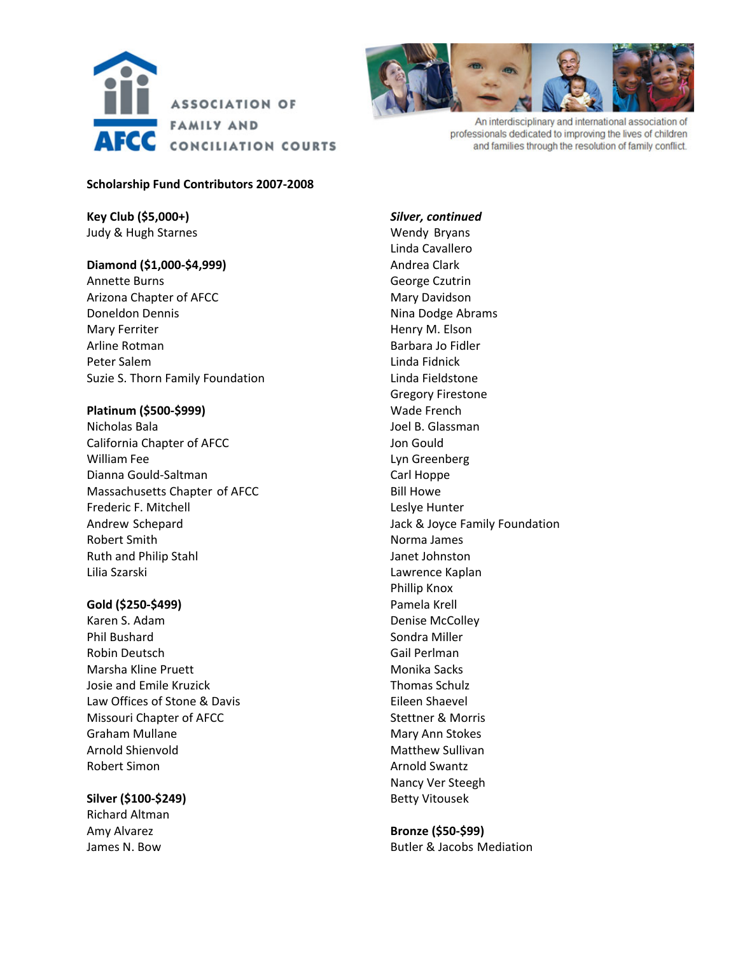



An interdisciplinary and international association of professionals dedicated to improving the lives of children and families through the resolution of family conflict.

### **Scholarship Fund Contributors 2007‐2008**

**Key Club (\$5,000+)** Judy & Hugh Starnes

# **Diamond (\$1,000‐\$4,999)**

Annette Burns Arizona Chapter of AFCC Doneldon Dennis Mary Ferriter Arline Rotman Peter Salem Suzie S. Thorn Family Foundation

### **Platinum (\$500‐\$999)**

Nicholas Bala California Chapter of AFCC William Fee Dianna Gould‐Saltman Massachusetts Chapter of AFCC Frederic F. Mitchell Andrew Schepard Robert Smith Ruth and Philip Stahl Lilia Szarski

# **Gold (\$250‐\$499)**

Karen S. Adam Phil Bushard Robin Deutsch Marsha Kline Pruett Josie and Emile Kruzick Law Offices of Stone & Davis Missouri Chapter of AFCC Graham Mullane Arnold Shienvold Robert Simon

**Silver (\$100‐\$249)** Richard Altman Amy Alvarez James N. Bow

*Silver, continued* Wendy Bryans Linda Cavallero Andrea Clark George Czutrin Mary Davidson Nina Dodge Abrams Henry M. Elson Barbara Jo Fidler Linda Fidnick Linda Fieldstone Gregory Firestone Wade French Joel B. Glassman Jon Gould Lyn Greenberg Carl Hoppe Bill Howe Leslye Hunter Jack & Joyce Family Foundation Norma James Janet Johnston Lawrence Kaplan Phillip Knox Pamela Krell Denise McColley Sondra Miller Gail Perlman Monika Sacks Thomas Schulz Eileen Shaevel Stettner & Morris Mary Ann Stokes Matthew Sullivan Arnold Swantz Nancy Ver Steegh Betty Vitousek

**Bronze (\$50‐\$99)** Butler & Jacobs Mediation